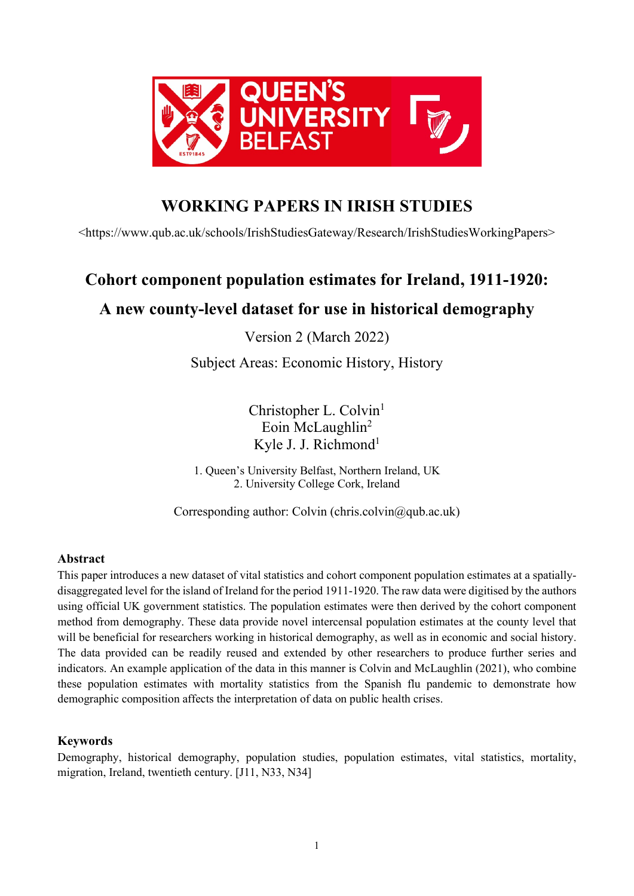

## **WORKING PAPERS IN IRISH STUDIES**

<https://www.qub.ac.uk/schools/IrishStudiesGateway/Research/IrishStudiesWorkingPapers>

# **Cohort component population estimates for Ireland, 1911-1920:**

## **A new county-level dataset for use in historical demography**

Version 2 (March 2022)

Subject Areas: Economic History, History

Christopher L. Colvin<sup>1</sup> Eoin McLaughlin<sup>2</sup> Kyle J. J. Richmond<sup>1</sup>

1. Queen's University Belfast, Northern Ireland, UK 2. University College Cork, Ireland

Corresponding author: Colvin (chris.colvin $(\partial qab \cdot ac \cdot uk)$ )

## **Abstract**

This paper introduces a new dataset of vital statistics and cohort component population estimates at a spatiallydisaggregated level for the island of Ireland for the period 1911-1920. The raw data were digitised by the authors using official UK government statistics. The population estimates were then derived by the cohort component method from demography. These data provide novel intercensal population estimates at the county level that will be beneficial for researchers working in historical demography, as well as in economic and social history. The data provided can be readily reused and extended by other researchers to produce further series and indicators. An example application of the data in this manner is Colvin and McLaughlin (2021), who combine these population estimates with mortality statistics from the Spanish flu pandemic to demonstrate how demographic composition affects the interpretation of data on public health crises.

## **Keywords**

Demography, historical demography, population studies, population estimates, vital statistics, mortality, migration, Ireland, twentieth century. [J11, N33, N34]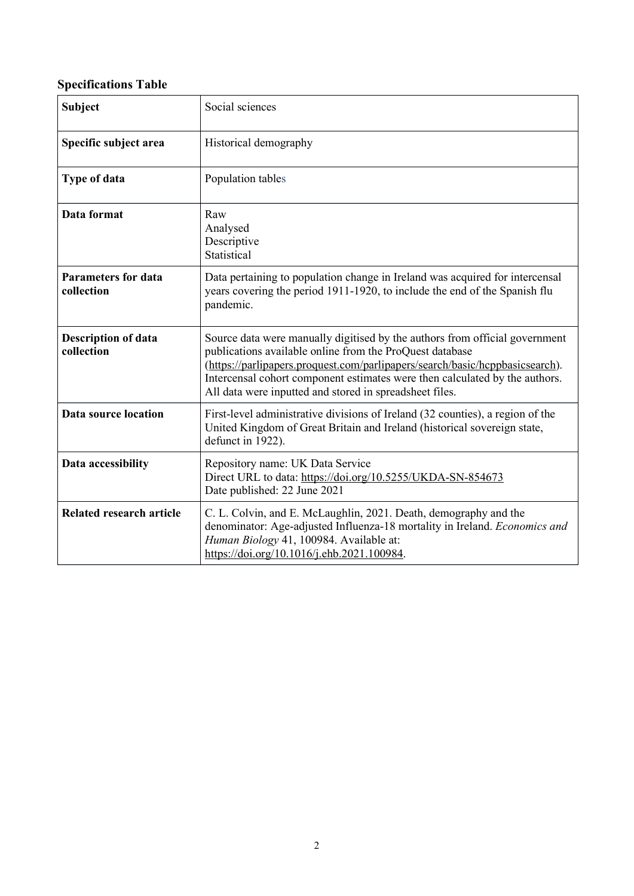## **Specifications Table**

| <b>Subject</b>                           | Social sciences                                                                                                                                                                                                                                                                                                                                                   |
|------------------------------------------|-------------------------------------------------------------------------------------------------------------------------------------------------------------------------------------------------------------------------------------------------------------------------------------------------------------------------------------------------------------------|
| Specific subject area                    | Historical demography                                                                                                                                                                                                                                                                                                                                             |
| Type of data                             | Population tables                                                                                                                                                                                                                                                                                                                                                 |
| Data format                              | Raw<br>Analysed<br>Descriptive<br>Statistical                                                                                                                                                                                                                                                                                                                     |
| <b>Parameters for data</b><br>collection | Data pertaining to population change in Ireland was acquired for intercensal<br>years covering the period 1911-1920, to include the end of the Spanish flu<br>pandemic.                                                                                                                                                                                           |
| <b>Description of data</b><br>collection | Source data were manually digitised by the authors from official government<br>publications available online from the ProQuest database<br>(https://parlipapers.proquest.com/parlipapers/search/basic/hcppbasicsearch).<br>Intercensal cohort component estimates were then calculated by the authors.<br>All data were inputted and stored in spreadsheet files. |
| Data source location                     | First-level administrative divisions of Ireland (32 counties), a region of the<br>United Kingdom of Great Britain and Ireland (historical sovereign state,<br>defunct in 1922).                                                                                                                                                                                   |
| Data accessibility                       | Repository name: UK Data Service<br>Direct URL to data: https://doi.org/10.5255/UKDA-SN-854673<br>Date published: 22 June 2021                                                                                                                                                                                                                                    |
| <b>Related research article</b>          | C. L. Colvin, and E. McLaughlin, 2021. Death, demography and the<br>denominator: Age-adjusted Influenza-18 mortality in Ireland. Economics and<br>Human Biology 41, 100984. Available at:<br>https://doi.org/10.1016/j.ehb.2021.100984.                                                                                                                           |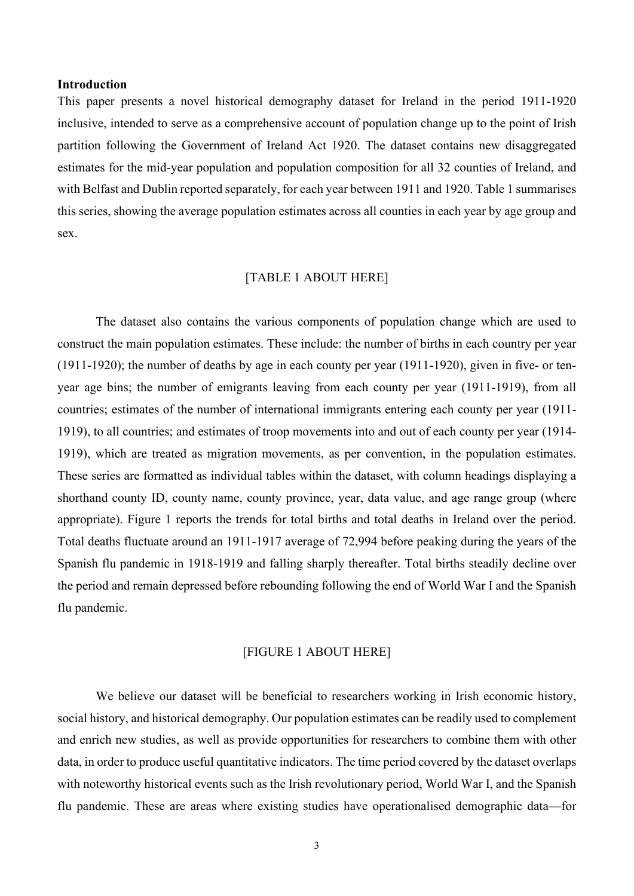## **Introduction**

This paper presents a novel historical demography dataset for Ireland in the period 1911-1920 inclusive, intended to serve as a comprehensive account of population change up to the point of Irish partition following the Government of Ireland Act 1920. The dataset contains new disaggregated estimates for the mid-year population and population composition for all 32 counties of Ireland, and with Belfast and Dublin reported separately, for each year between 1911 and 1920. Table 1 summarises this series, showing the average population estimates across all counties in each year by age group and sex.

## [TABLE 1 ABOUT HERE]

The dataset also contains the various components of population change which are used to construct the main population estimates. These include: the number of births in each country per year (1911-1920); the number of deaths by age in each county per year (1911-1920), given in five- or tenyear age bins; the number of emigrants leaving from each county per year (1911-1919), from all countries; estimates of the number of international immigrants entering each county per year (1911- 1919), to all countries; and estimates of troop movements into and out of each county per year (1914- 1919), which are treated as migration movements, as per convention, in the population estimates. These series are formatted as individual tables within the dataset, with column headings displaying a shorthand county ID, county name, county province, year, data value, and age range group (where appropriate). Figure 1 reports the trends for total births and total deaths in Ireland over the period. Total deaths fluctuate around an 1911-1917 average of 72,994 before peaking during the years of the Spanish flu pandemic in 1918-1919 and falling sharply thereafter. Total births steadily decline over the period and remain depressed before rebounding following the end of World War I and the Spanish flu pandemic.

### [FIGURE 1 ABOUT HERE]

We believe our dataset will be beneficial to researchers working in Irish economic history, social history, and historical demography. Our population estimates can be readily used to complement and enrich new studies, as well as provide opportunities for researchers to combine them with other data, in order to produce useful quantitative indicators. The time period covered by the dataset overlaps with noteworthy historical events such as the Irish revolutionary period, World War I, and the Spanish flu pandemic. These are areas where existing studies have operationalised demographic data—for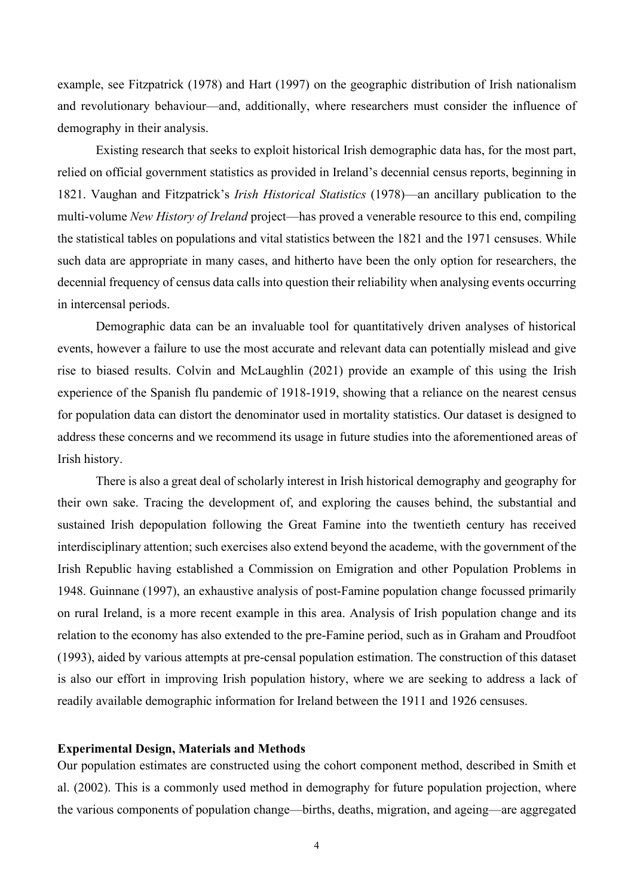example, see Fitzpatrick (1978) and Hart (1997) on the geographic distribution of Irish nationalism and revolutionary behaviour—and, additionally, where researchers must consider the influence of demography in their analysis.

Existing research that seeks to exploit historical Irish demographic data has, for the most part, relied on official government statistics as provided in Ireland's decennial census reports, beginning in 1821. Vaughan and Fitzpatrick's *Irish Historical Statistics* (1978)—an ancillary publication to the multi-volume *New History of Ireland* project—has proved a venerable resource to this end, compiling the statistical tables on populations and vital statistics between the 1821 and the 1971 censuses. While such data are appropriate in many cases, and hitherto have been the only option for researchers, the decennial frequency of census data calls into question their reliability when analysing events occurring in intercensal periods.

Demographic data can be an invaluable tool for quantitatively driven analyses of historical events, however a failure to use the most accurate and relevant data can potentially mislead and give rise to biased results. Colvin and McLaughlin (2021) provide an example of this using the Irish experience of the Spanish flu pandemic of 1918-1919, showing that a reliance on the nearest census for population data can distort the denominator used in mortality statistics. Our dataset is designed to address these concerns and we recommend its usage in future studies into the aforementioned areas of Irish history.

There is also a great deal of scholarly interest in Irish historical demography and geography for their own sake. Tracing the development of, and exploring the causes behind, the substantial and sustained Irish depopulation following the Great Famine into the twentieth century has received interdisciplinary attention; such exercises also extend beyond the academe, with the government of the Irish Republic having established a Commission on Emigration and other Population Problems in 1948. Guinnane (1997), an exhaustive analysis of post-Famine population change focussed primarily on rural Ireland, is a more recent example in this area. Analysis of Irish population change and its relation to the economy has also extended to the pre-Famine period, such as in Graham and Proudfoot (1993), aided by various attempts at pre-censal population estimation. The construction of this dataset is also our effort in improving Irish population history, where we are seeking to address a lack of readily available demographic information for Ireland between the 1911 and 1926 censuses.

## **Experimental Design, Materials and Methods**

Our population estimates are constructed using the cohort component method, described in Smith et al. (2002). This is a commonly used method in demography for future population projection, where the various components of population change—births, deaths, migration, and ageing—are aggregated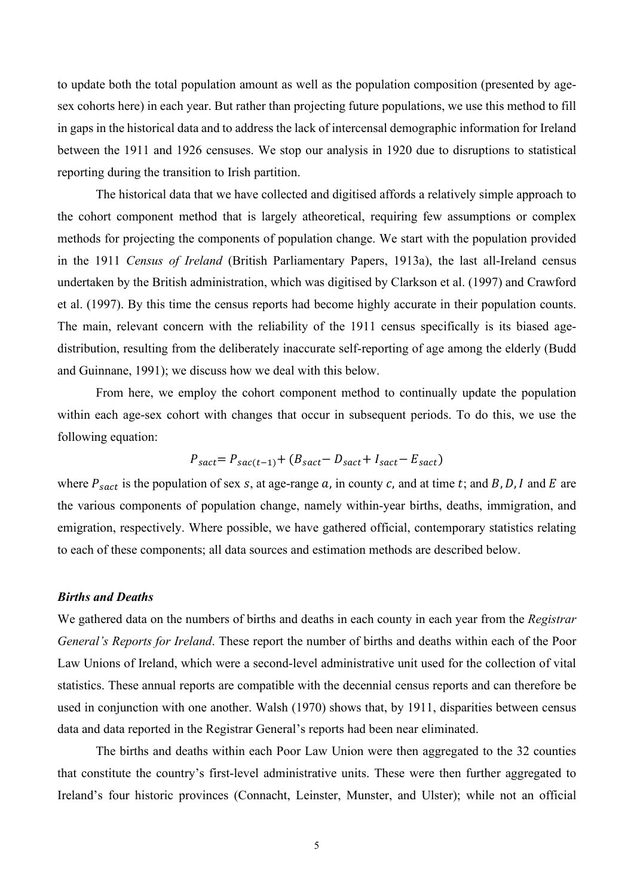to update both the total population amount as well as the population composition (presented by agesex cohorts here) in each year. But rather than projecting future populations, we use this method to fill in gaps in the historical data and to address the lack of intercensal demographic information for Ireland between the 1911 and 1926 censuses. We stop our analysis in 1920 due to disruptions to statistical reporting during the transition to Irish partition.

The historical data that we have collected and digitised affords a relatively simple approach to the cohort component method that is largely atheoretical, requiring few assumptions or complex methods for projecting the components of population change. We start with the population provided in the 1911 *Census of Ireland* (British Parliamentary Papers, 1913a), the last all-Ireland census undertaken by the British administration, which was digitised by Clarkson et al. (1997) and Crawford et al. (1997). By this time the census reports had become highly accurate in their population counts. The main, relevant concern with the reliability of the 1911 census specifically is its biased agedistribution, resulting from the deliberately inaccurate self-reporting of age among the elderly (Budd and Guinnane, 1991); we discuss how we deal with this below.

From here, we employ the cohort component method to continually update the population within each age-sex cohort with changes that occur in subsequent periods. To do this, we use the following equation:

$$
P_{sact} = P_{sac(t-1)} + (B_{sact} - D_{sact} + I_{sact} - E_{sact})
$$

where  $P_{\text{sort}}$  is the population of sex s, at age-range a, in county c, and at time t; and B, D, I and E are the various components of population change, namely within-year births, deaths, immigration, and emigration, respectively. Where possible, we have gathered official, contemporary statistics relating to each of these components; all data sources and estimation methods are described below.

## *Births and Deaths*

We gathered data on the numbers of births and deaths in each county in each year from the *Registrar General's Reports for Ireland*. These report the number of births and deaths within each of the Poor Law Unions of Ireland, which were a second-level administrative unit used for the collection of vital statistics. These annual reports are compatible with the decennial census reports and can therefore be used in conjunction with one another. Walsh (1970) shows that, by 1911, disparities between census data and data reported in the Registrar General's reports had been near eliminated.

The births and deaths within each Poor Law Union were then aggregated to the 32 counties that constitute the country's first-level administrative units. These were then further aggregated to Ireland's four historic provinces (Connacht, Leinster, Munster, and Ulster); while not an official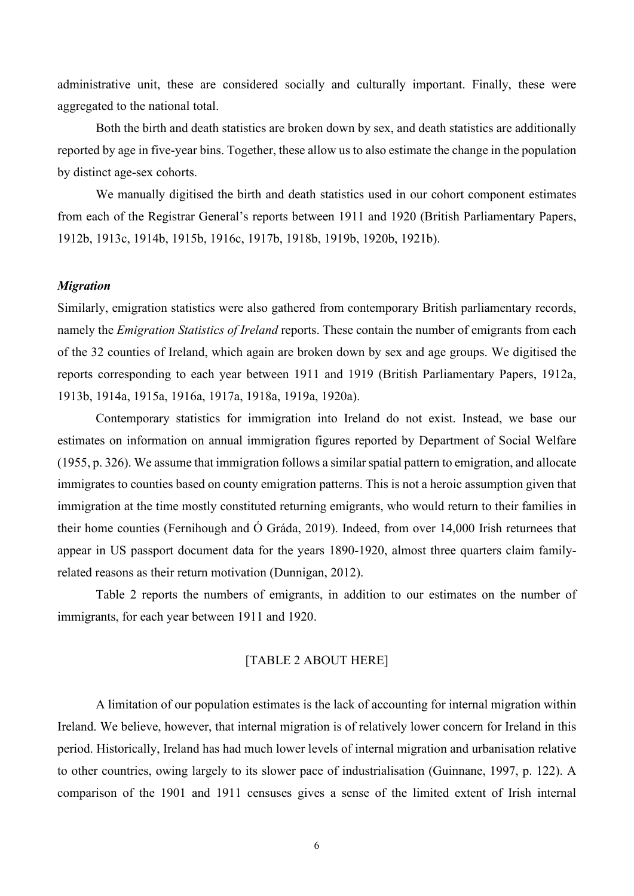administrative unit, these are considered socially and culturally important. Finally, these were aggregated to the national total.

Both the birth and death statistics are broken down by sex, and death statistics are additionally reported by age in five-year bins. Together, these allow us to also estimate the change in the population by distinct age-sex cohorts.

We manually digitised the birth and death statistics used in our cohort component estimates from each of the Registrar General's reports between 1911 and 1920 (British Parliamentary Papers, 1912b, 1913c, 1914b, 1915b, 1916c, 1917b, 1918b, 1919b, 1920b, 1921b).

## *Migration*

Similarly, emigration statistics were also gathered from contemporary British parliamentary records, namely the *Emigration Statistics of Ireland* reports. These contain the number of emigrants from each of the 32 counties of Ireland, which again are broken down by sex and age groups. We digitised the reports corresponding to each year between 1911 and 1919 (British Parliamentary Papers, 1912a, 1913b, 1914a, 1915a, 1916a, 1917a, 1918a, 1919a, 1920a).

Contemporary statistics for immigration into Ireland do not exist. Instead, we base our estimates on information on annual immigration figures reported by Department of Social Welfare  $(1955, p. 326)$ . We assume that immigration follows a similar spatial pattern to emigration, and allocate immigrates to counties based on county emigration patterns. This is not a heroic assumption given that immigration at the time mostly constituted returning emigrants, who would return to their families in their home counties (Fernihough and Ó Gráda, 2019). Indeed, from over 14,000 Irish returnees that appear in US passport document data for the years 1890-1920, almost three quarters claim familyrelated reasons as their return motivation (Dunnigan, 2012).

Table 2 reports the numbers of emigrants, in addition to our estimates on the number of immigrants, for each year between 1911 and 1920.

## [TABLE 2 ABOUT HERE]

A limitation of our population estimates is the lack of accounting for internal migration within Ireland. We believe, however, that internal migration is of relatively lower concern for Ireland in this period. Historically, Ireland has had much lower levels of internal migration and urbanisation relative to other countries, owing largely to its slower pace of industrialisation (Guinnane, 1997, p. 122). A comparison of the 1901 and 1911 censuses gives a sense of the limited extent of Irish internal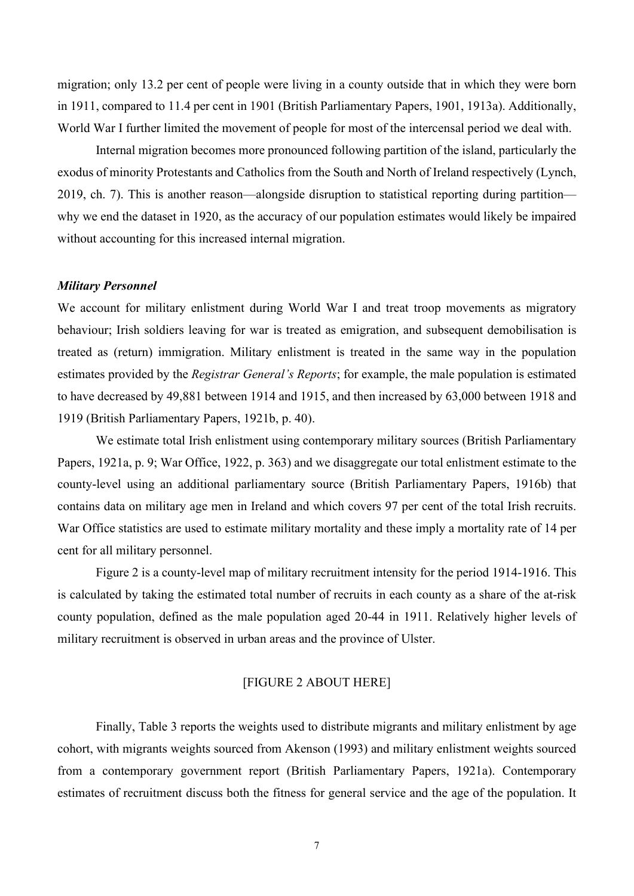migration; only 13.2 per cent of people were living in a county outside that in which they were born in 1911, compared to 11.4 per cent in 1901 (British Parliamentary Papers, 1901, 1913a). Additionally, World War I further limited the movement of people for most of the intercensal period we deal with.

Internal migration becomes more pronounced following partition of the island, particularly the exodus of minority Protestants and Catholics from the South and North of Ireland respectively (Lynch, 2019, ch. 7). This is another reason—alongside disruption to statistical reporting during partition why we end the dataset in 1920, as the accuracy of our population estimates would likely be impaired without accounting for this increased internal migration.

## *Military Personnel*

We account for military enlistment during World War I and treat troop movements as migratory behaviour; Irish soldiers leaving for war is treated as emigration, and subsequent demobilisation is treated as (return) immigration. Military enlistment is treated in the same way in the population estimates provided by the *Registrar General's Reports*; for example, the male population is estimated to have decreased by 49,881 between 1914 and 1915, and then increased by 63,000 between 1918 and 1919 (British Parliamentary Papers, 1921b, p. 40).

We estimate total Irish enlistment using contemporary military sources (British Parliamentary Papers, 1921a, p. 9; War Office, 1922, p. 363) and we disaggregate our total enlistment estimate to the county-level using an additional parliamentary source (British Parliamentary Papers, 1916b) that contains data on military age men in Ireland and which covers 97 per cent of the total Irish recruits. War Office statistics are used to estimate military mortality and these imply a mortality rate of 14 per cent for all military personnel.

Figure 2 is a county-level map of military recruitment intensity for the period 1914-1916. This is calculated by taking the estimated total number of recruits in each county as a share of the at-risk county population, defined as the male population aged 20-44 in 1911. Relatively higher levels of military recruitment is observed in urban areas and the province of Ulster.

## [FIGURE 2 ABOUT HERE]

Finally, Table 3 reports the weights used to distribute migrants and military enlistment by age cohort, with migrants weights sourced from Akenson (1993) and military enlistment weights sourced from a contemporary government report (British Parliamentary Papers, 1921a). Contemporary estimates of recruitment discuss both the fitness for general service and the age of the population. It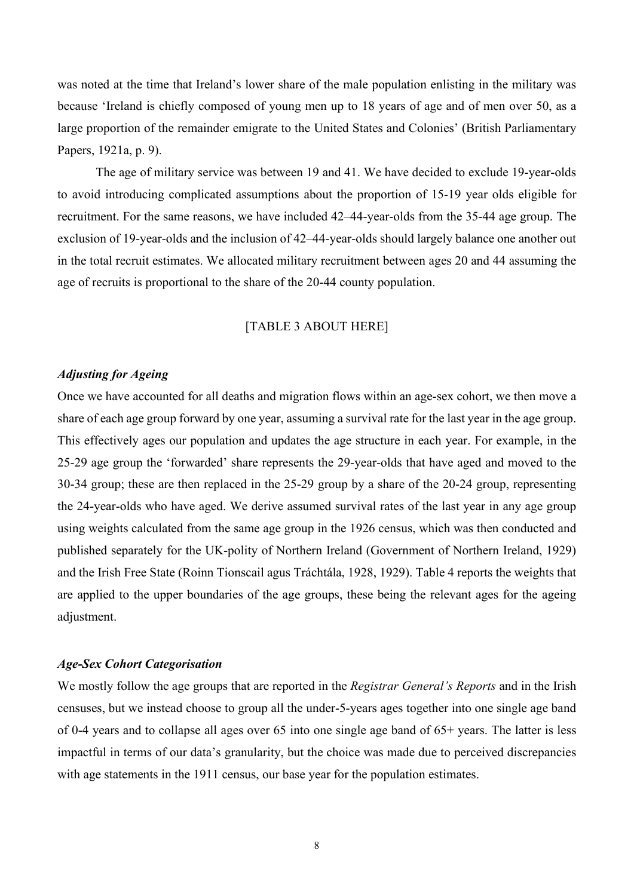was noted at the time that Ireland's lower share of the male population enlisting in the military was because 'Ireland is chiefly composed of young men up to 18 years of age and of men over 50, as a large proportion of the remainder emigrate to the United States and Colonies' (British Parliamentary Papers, 1921a, p. 9).

The age of military service was between 19 and 41. We have decided to exclude 19-year-olds to avoid introducing complicated assumptions about the proportion of 15-19 year olds eligible for recruitment. For the same reasons, we have included 42–44-year-olds from the 35-44 age group. The exclusion of 19-year-olds and the inclusion of 42–44-year-olds should largely balance one another out in the total recruit estimates. We allocated military recruitment between ages 20 and 44 assuming the age of recruits is proportional to the share of the 20-44 county population.

## [TABLE 3 ABOUT HERE]

## *Adjusting for Ageing*

Once we have accounted for all deaths and migration flows within an age-sex cohort, we then move a share of each age group forward by one year, assuming a survival rate for the last year in the age group. This effectively ages our population and updates the age structure in each year. For example, in the 25-29 age group the 'forwarded' share represents the 29-year-olds that have aged and moved to the 30-34 group; these are then replaced in the 25-29 group by a share of the 20-24 group, representing the 24-year-olds who have aged. We derive assumed survival rates of the last year in any age group using weights calculated from the same age group in the 1926 census, which was then conducted and published separately for the UK-polity of Northern Ireland (Government of Northern Ireland, 1929) and the Irish Free State (Roinn Tionscail agus Tráchtála, 1928, 1929). Table 4 reports the weights that are applied to the upper boundaries of the age groups, these being the relevant ages for the ageing adjustment.

### *Age-Sex Cohort Categorisation*

We mostly follow the age groups that are reported in the *Registrar General's Reports* and in the Irish censuses, but we instead choose to group all the under-5-years ages together into one single age band of 0-4 years and to collapse all ages over 65 into one single age band of 65+ years. The latter is less impactful in terms of our data's granularity, but the choice was made due to perceived discrepancies with age statements in the 1911 census, our base year for the population estimates.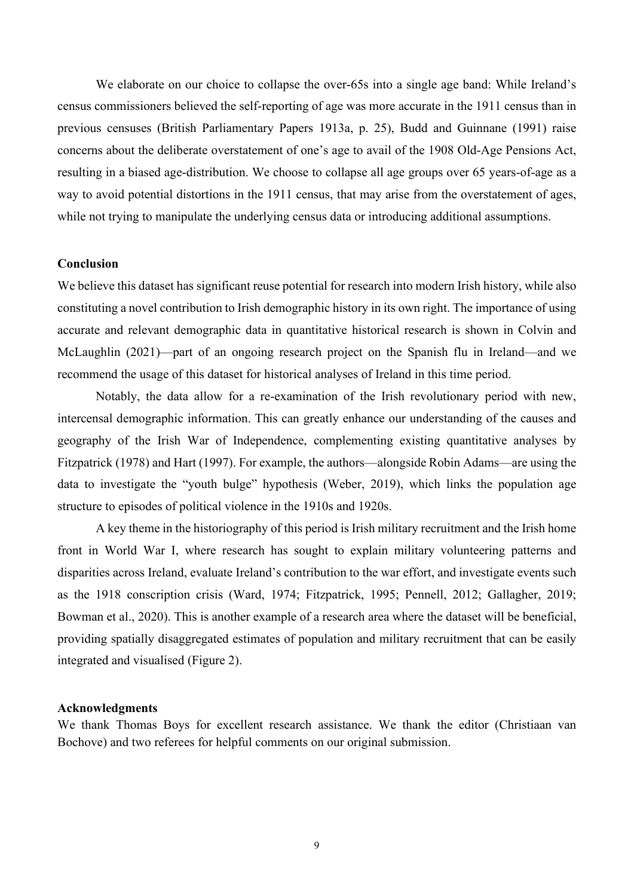We elaborate on our choice to collapse the over-65s into a single age band: While Ireland's census commissioners believed the self-reporting of age was more accurate in the 1911 census than in previous censuses (British Parliamentary Papers 1913a, p. 25), Budd and Guinnane (1991) raise concerns about the deliberate overstatement of one's age to avail of the 1908 Old-Age Pensions Act, resulting in a biased age-distribution. We choose to collapse all age groups over 65 years-of-age as a way to avoid potential distortions in the 1911 census, that may arise from the overstatement of ages, while not trying to manipulate the underlying census data or introducing additional assumptions.

## **Conclusion**

We believe this dataset has significant reuse potential for research into modern Irish history, while also constituting a novel contribution to Irish demographic history in its own right. The importance of using accurate and relevant demographic data in quantitative historical research is shown in Colvin and McLaughlin (2021)—part of an ongoing research project on the Spanish flu in Ireland—and we recommend the usage of this dataset for historical analyses of Ireland in this time period.

Notably, the data allow for a re-examination of the Irish revolutionary period with new, intercensal demographic information. This can greatly enhance our understanding of the causes and geography of the Irish War of Independence, complementing existing quantitative analyses by Fitzpatrick (1978) and Hart (1997). For example, the authors—alongside Robin Adams—are using the data to investigate the "youth bulge" hypothesis (Weber, 2019), which links the population age structure to episodes of political violence in the 1910s and 1920s.

A key theme in the historiography of this period is Irish military recruitment and the Irish home front in World War I, where research has sought to explain military volunteering patterns and disparities across Ireland, evaluate Ireland's contribution to the war effort, and investigate events such as the 1918 conscription crisis (Ward, 1974; Fitzpatrick, 1995; Pennell, 2012; Gallagher, 2019; Bowman et al., 2020). This is another example of a research area where the dataset will be beneficial, providing spatially disaggregated estimates of population and military recruitment that can be easily integrated and visualised (Figure 2).

#### **Acknowledgments**

We thank Thomas Boys for excellent research assistance. We thank the editor (Christiaan van Bochove) and two referees for helpful comments on our original submission.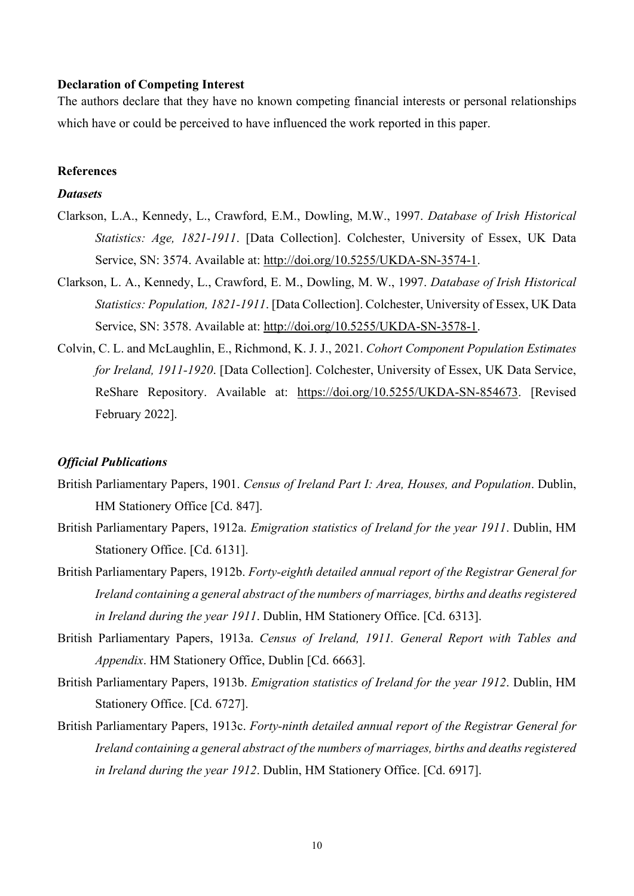## **Declaration of Competing Interest**

The authors declare that they have no known competing financial interests or personal relationships which have or could be perceived to have influenced the work reported in this paper.

## **References**

## *Datasets*

- Clarkson, L.A., Kennedy, L., Crawford, E.M., Dowling, M.W., 1997. *Database of Irish Historical Statistics: Age, 1821-1911*. [Data Collection]. Colchester, University of Essex, UK Data Service, SN: 3574. Available at: [http://doi.org/10.5255/UKDA-SN-3574-1.](http://doi.org/10.5255/UKDA-SN-3574-1)
- Clarkson, L. A., Kennedy, L., Crawford, E. M., Dowling, M. W., 1997. *Database of Irish Historical Statistics: Population, 1821-1911*. [Data Collection]. Colchester, University of Essex, UK Data Service, SN: 3578. Available at: [http://doi.org/10.5255/UKDA-SN-3578-1.](http://doi.org/10.5255/UKDA-SN-3578-1)
- Colvin, C. L. and McLaughlin, E., Richmond, K. J. J., 2021. *Cohort Component Population Estimates for Ireland, 1911-1920*. [Data Collection]. Colchester, University of Essex, UK Data Service, ReShare Repository. Available at: [https://doi.org/10.5255/UKDA-SN-854673.](https://doi.org/10.5255/UKDA-SN-854673) [Revised February 2022].

## *Official Publications*

- British Parliamentary Papers, 1901. *Census of Ireland Part I: Area, Houses, and Population*. Dublin, HM Stationery Office [Cd. 847].
- British Parliamentary Papers, 1912a. *Emigration statistics of Ireland for the year 1911*. Dublin, HM Stationery Office. [Cd. 6131].
- British Parliamentary Papers, 1912b. *Forty-eighth detailed annual report of the Registrar General for Ireland containing a general abstract of the numbers of marriages, births and deathsregistered in Ireland during the year 1911*. Dublin, HM Stationery Office. [Cd. 6313].
- British Parliamentary Papers, 1913a. *Census of Ireland, 1911. General Report with Tables and Appendix*. HM Stationery Office, Dublin [Cd. 6663].
- British Parliamentary Papers, 1913b. *Emigration statistics of Ireland for the year 1912*. Dublin, HM Stationery Office. [Cd. 6727].
- British Parliamentary Papers, 1913c. *Forty-ninth detailed annual report of the Registrar General for Ireland containing a general abstract of the numbers of marriages, births and deathsregistered in Ireland during the year 1912*. Dublin, HM Stationery Office. [Cd. 6917].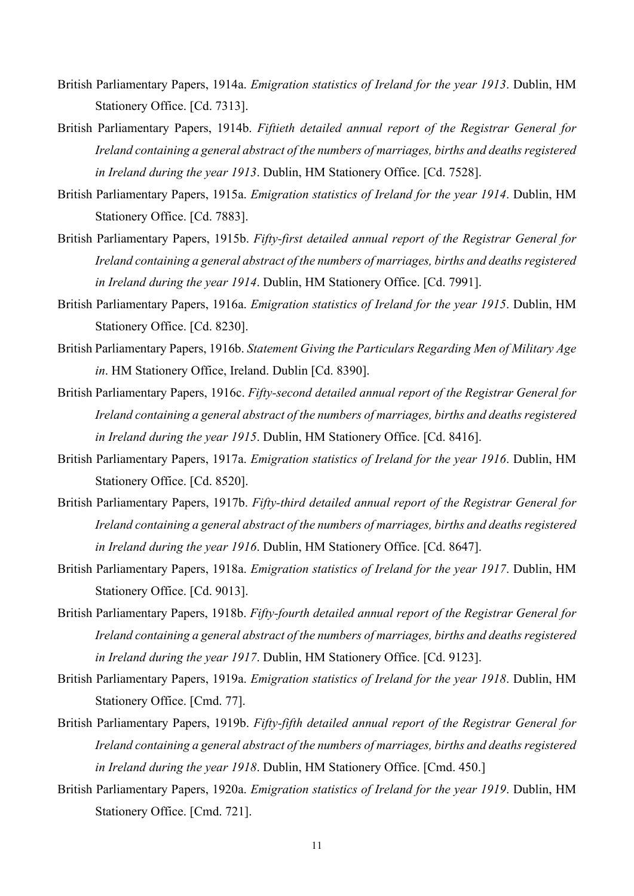- British Parliamentary Papers, 1914a. *Emigration statistics of Ireland for the year 1913*. Dublin, HM Stationery Office. [Cd. 7313].
- British Parliamentary Papers, 1914b. *Fiftieth detailed annual report of the Registrar General for Ireland containing a general abstract of the numbers of marriages, births and deathsregistered in Ireland during the year 1913*. Dublin, HM Stationery Office. [Cd. 7528].
- British Parliamentary Papers, 1915a. *Emigration statistics of Ireland for the year 1914*. Dublin, HM Stationery Office. [Cd. 7883].
- British Parliamentary Papers, 1915b. *Fifty-first detailed annual report of the Registrar General for Ireland containing a general abstract of the numbers of marriages, births and deathsregistered in Ireland during the year 1914*. Dublin, HM Stationery Office. [Cd. 7991].
- British Parliamentary Papers, 1916a. *Emigration statistics of Ireland for the year 1915*. Dublin, HM Stationery Office. [Cd. 8230].
- British Parliamentary Papers, 1916b. *Statement Giving the Particulars Regarding Men of Military Age in*. HM Stationery Office, Ireland. Dublin [Cd. 8390].
- British Parliamentary Papers, 1916c. *Fifty-second detailed annual report of the Registrar General for Ireland containing a general abstract of the numbers of marriages, births and deathsregistered in Ireland during the year 1915*. Dublin, HM Stationery Office. [Cd. 8416].
- British Parliamentary Papers, 1917a. *Emigration statistics of Ireland for the year 1916*. Dublin, HM Stationery Office. [Cd. 8520].
- British Parliamentary Papers, 1917b. *Fifty-third detailed annual report of the Registrar General for Ireland containing a general abstract of the numbers of marriages, births and deathsregistered in Ireland during the year 1916*. Dublin, HM Stationery Office. [Cd. 8647].
- British Parliamentary Papers, 1918a. *Emigration statistics of Ireland for the year 1917*. Dublin, HM Stationery Office. [Cd. 9013].
- British Parliamentary Papers, 1918b. *Fifty-fourth detailed annual report of the Registrar General for Ireland containing a general abstract of the numbers of marriages, births and deathsregistered in Ireland during the year 1917*. Dublin, HM Stationery Office. [Cd. 9123].
- British Parliamentary Papers, 1919a. *Emigration statistics of Ireland for the year 1918*. Dublin, HM Stationery Office. [Cmd. 77].
- British Parliamentary Papers, 1919b. *Fifty-fifth detailed annual report of the Registrar General for Ireland containing a general abstract of the numbers of marriages, births and deathsregistered in Ireland during the year 1918*. Dublin, HM Stationery Office. [Cmd. 450.]
- British Parliamentary Papers, 1920a. *Emigration statistics of Ireland for the year 1919*. Dublin, HM Stationery Office. [Cmd. 721].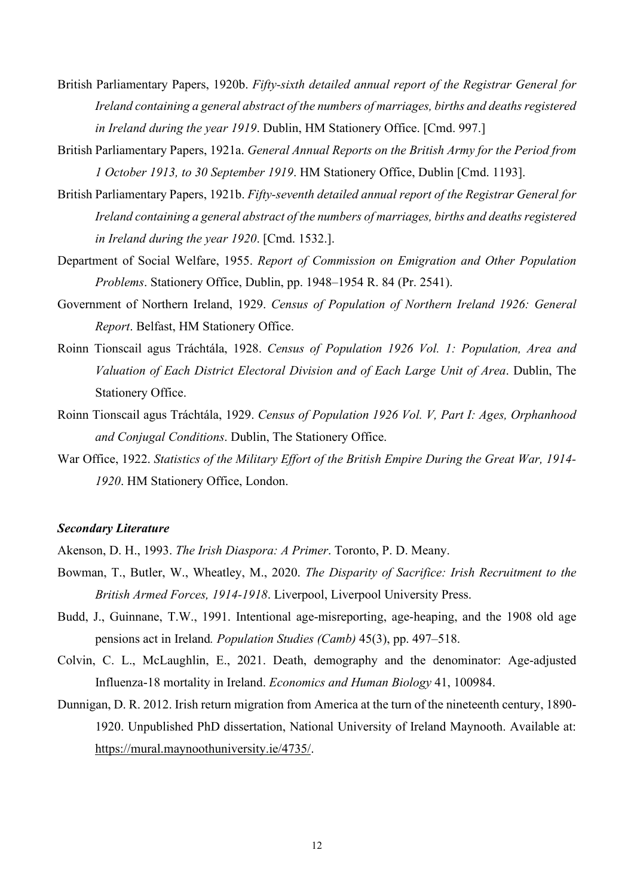- British Parliamentary Papers, 1920b. *Fifty-sixth detailed annual report of the Registrar General for Ireland containing a general abstract of the numbers of marriages, births and deathsregistered in Ireland during the year 1919*. Dublin, HM Stationery Office. [Cmd. 997.]
- British Parliamentary Papers, 1921a. *General Annual Reports on the British Army for the Period from 1 October 1913, to 30 September 1919*. HM Stationery Office, Dublin [Cmd. 1193].
- British Parliamentary Papers, 1921b. *Fifty-seventh detailed annual report of the Registrar General for Ireland containing a general abstract of the numbers of marriages, births and deathsregistered in Ireland during the year 1920*. [Cmd. 1532.].
- Department of Social Welfare, 1955. *Report of Commission on Emigration and Other Population Problems*. Stationery Office, Dublin, pp. 1948–1954 R. 84 (Pr. 2541).
- Government of Northern Ireland, 1929. *Census of Population of Northern Ireland 1926: General Report*. Belfast, HM Stationery Office.
- Roinn Tionscail agus Tráchtála, 1928. *Census of Population 1926 Vol. 1: Population, Area and Valuation of Each District Electoral Division and of Each Large Unit of Area*. Dublin, The Stationery Office.
- Roinn Tionscail agus Tráchtála, 1929. *Census of Population 1926 Vol. V, Part I: Ages, Orphanhood and Conjugal Conditions*. Dublin, The Stationery Office.
- War Office, 1922. *Statistics of the Military Effort of the British Empire During the Great War, 1914- 1920*. HM Stationery Office, London.

#### *Secondary Literature*

Akenson, D. H., 1993. *The Irish Diaspora: A Primer*. Toronto, P. D. Meany.

- Bowman, T., Butler, W., Wheatley, M., 2020. *The Disparity of Sacrifice: Irish Recruitment to the British Armed Forces, 1914-1918*. Liverpool, Liverpool University Press.
- Budd, J., Guinnane, T.W., 1991. Intentional age-misreporting, age-heaping, and the 1908 old age pensions act in Ireland*. Population Studies (Camb)* 45(3), pp. 497–518.
- Colvin, C. L., McLaughlin, E., 2021. Death, demography and the denominator: Age-adjusted Influenza-18 mortality in Ireland. *Economics and Human Biology* 41, 100984.
- Dunnigan, D. R. 2012. Irish return migration from America at the turn of the nineteenth century, 1890- 1920. Unpublished PhD dissertation, National University of Ireland Maynooth. Available at: [https://mural.maynoothuniversity.ie/4735/.](https://mural.maynoothuniversity.ie/4735/)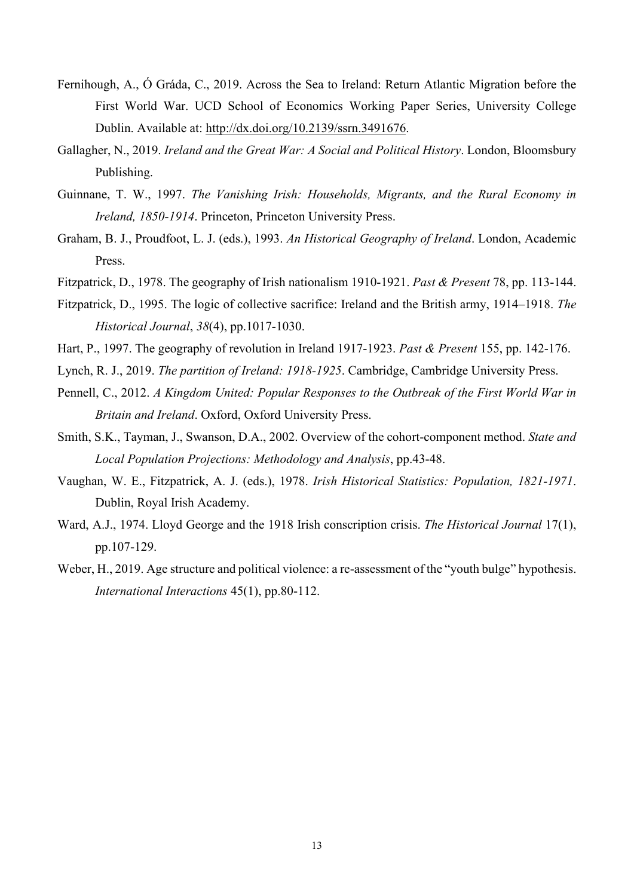- Fernihough, A., Ó Gráda, C., 2019. Across the Sea to Ireland: Return Atlantic Migration before the First World War. UCD School of Economics Working Paper Series, University College Dublin. Available at: [http://dx.doi.org/10.2139/ssrn.3491676.](http://dx.doi.org/10.2139/ssrn.3491676)
- Gallagher, N., 2019. *Ireland and the Great War: A Social and Political History*. London, Bloomsbury Publishing.
- Guinnane, T. W., 1997. *The Vanishing Irish: Households, Migrants, and the Rural Economy in Ireland, 1850-1914*. Princeton, Princeton University Press.
- Graham, B. J., Proudfoot, L. J. (eds.), 1993. *An Historical Geography of Ireland*. London, Academic Press.
- Fitzpatrick, D., 1978. The geography of Irish nationalism 1910-1921. *Past & Present* 78, pp. 113-144.
- Fitzpatrick, D., 1995. The logic of collective sacrifice: Ireland and the British army, 1914–1918. *The Historical Journal*, *38*(4), pp.1017-1030.
- Hart, P., 1997. The geography of revolution in Ireland 1917-1923. *Past & Present* 155, pp. 142-176.
- Lynch, R. J., 2019. *The partition of Ireland: 1918-1925*. Cambridge, Cambridge University Press.
- Pennell, C., 2012. *A Kingdom United: Popular Responses to the Outbreak of the First World War in Britain and Ireland*. Oxford, Oxford University Press.
- Smith, S.K., Tayman, J., Swanson, D.A., 2002. Overview of the cohort-component method. *State and Local Population Projections: Methodology and Analysis*, pp.43-48.
- Vaughan, W. E., Fitzpatrick, A. J. (eds.), 1978. *Irish Historical Statistics: Population, 1821-1971*. Dublin, Royal Irish Academy.
- Ward, A.J., 1974. Lloyd George and the 1918 Irish conscription crisis. *The Historical Journal* 17(1), pp.107-129.
- Weber, H., 2019. Age structure and political violence: a re-assessment of the "youth bulge" hypothesis. *International Interactions* 45(1), pp.80-112.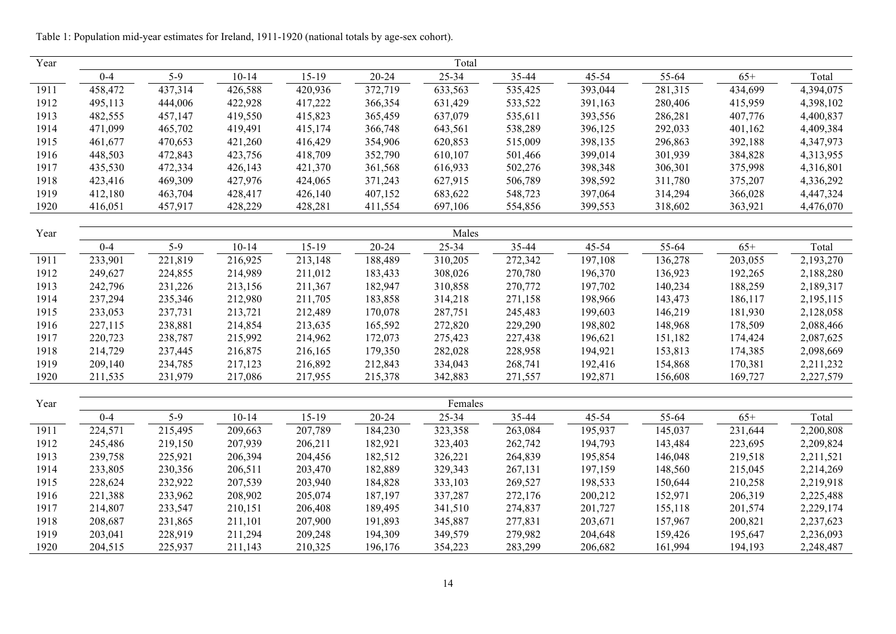| Year |         |         |           |         |           | Total   |         |         |         |         |           |
|------|---------|---------|-----------|---------|-----------|---------|---------|---------|---------|---------|-----------|
|      | $0 - 4$ | $5-9$   | $10 - 14$ | $15-19$ | $20 - 24$ | 25-34   | 35-44   | 45-54   | 55-64   | $65+$   | Total     |
| 1911 | 458,472 | 437,314 | 426,588   | 420,936 | 372,719   | 633,563 | 535,425 | 393,044 | 281,315 | 434,699 | 4,394,075 |
| 1912 | 495,113 | 444,006 | 422,928   | 417,222 | 366,354   | 631,429 | 533,522 | 391,163 | 280,406 | 415,959 | 4,398,102 |
| 1913 | 482,555 | 457,147 | 419,550   | 415,823 | 365,459   | 637,079 | 535,611 | 393,556 | 286,281 | 407,776 | 4,400,837 |
| 1914 | 471,099 | 465,702 | 419,491   | 415,174 | 366,748   | 643,561 | 538,289 | 396,125 | 292,033 | 401,162 | 4,409,384 |
| 1915 | 461,677 | 470,653 | 421,260   | 416,429 | 354,906   | 620,853 | 515,009 | 398,135 | 296,863 | 392,188 | 4,347,973 |
| 1916 | 448,503 | 472,843 | 423,756   | 418,709 | 352,790   | 610,107 | 501,466 | 399,014 | 301,939 | 384,828 | 4,313,955 |
| 1917 | 435,530 | 472,334 | 426,143   | 421,370 | 361,568   | 616,933 | 502,276 | 398,348 | 306,301 | 375,998 | 4,316,801 |
| 1918 | 423,416 | 469,309 | 427,976   | 424,065 | 371,243   | 627,915 | 506,789 | 398,592 | 311,780 | 375,207 | 4,336,292 |
| 1919 | 412,180 | 463,704 | 428,417   | 426,140 | 407,152   | 683,622 | 548,723 | 397,064 | 314,294 | 366,028 | 4,447,324 |
| 1920 | 416,051 | 457,917 | 428,229   | 428,281 | 411,554   | 697,106 | 554,856 | 399,553 | 318,602 | 363,921 | 4,476,070 |
|      |         |         |           |         |           |         |         |         |         |         |           |
| Year |         |         |           |         |           | Males   |         |         |         |         |           |
|      | $0 - 4$ | $5-9$   | $10 - 14$ | $15-19$ | $20 - 24$ | 25-34   | 35-44   | 45-54   | 55-64   | $65+$   | Total     |
| 1911 | 233,901 | 221,819 | 216,925   | 213,148 | 188,489   | 310,205 | 272,342 | 197,108 | 136,278 | 203,055 | 2,193,270 |
| 1912 | 249,627 | 224,855 | 214,989   | 211,012 | 183,433   | 308,026 | 270,780 | 196,370 | 136,923 | 192,265 | 2,188,280 |
| 1913 | 242,796 | 231,226 | 213,156   | 211,367 | 182,947   | 310,858 | 270,772 | 197,702 | 140,234 | 188,259 | 2,189,317 |
| 1914 | 237,294 | 235,346 | 212,980   | 211,705 | 183,858   | 314,218 | 271,158 | 198,966 | 143,473 | 186,117 | 2,195,115 |
| 1915 | 233,053 | 237,731 | 213,721   | 212,489 | 170,078   | 287,751 | 245,483 | 199,603 | 146,219 | 181,930 | 2,128,058 |
| 1916 | 227,115 | 238,881 | 214,854   | 213,635 | 165,592   | 272,820 | 229,290 | 198,802 | 148,968 | 178,509 | 2,088,466 |
| 1917 | 220,723 | 238,787 | 215,992   | 214,962 | 172,073   | 275,423 | 227,438 | 196,621 | 151,182 | 174,424 | 2,087,625 |
| 1918 | 214,729 | 237,445 | 216,875   | 216,165 | 179,350   | 282,028 | 228,958 | 194,921 | 153,813 | 174,385 | 2,098,669 |
| 1919 | 209,140 | 234,785 | 217,123   | 216,892 | 212,843   | 334,043 | 268,741 | 192,416 | 154,868 | 170,381 | 2,211,232 |
| 1920 | 211,535 | 231,979 | 217,086   | 217,955 | 215,378   | 342,883 | 271,557 | 192,871 | 156,608 | 169,727 | 2,227,579 |
| Year |         |         |           |         |           | Females |         |         |         |         |           |
|      | $0 - 4$ | $5-9$   | $10 - 14$ | $15-19$ | $20 - 24$ | 25-34   | 35-44   | 45-54   | 55-64   | $65+$   | Total     |
| 1911 | 224,571 | 215,495 | 209,663   | 207,789 | 184,230   | 323,358 | 263,084 | 195,937 | 145,037 | 231,644 | 2,200,808 |
| 1912 | 245,486 | 219,150 | 207,939   | 206,211 | 182,921   | 323,403 | 262,742 | 194,793 | 143,484 | 223,695 | 2,209,824 |
| 1913 | 239,758 | 225,921 | 206,394   | 204,456 | 182,512   | 326,221 | 264,839 | 195,854 | 146,048 | 219,518 | 2,211,521 |
| 1914 | 233,805 | 230,356 | 206,511   | 203,470 | 182,889   | 329,343 | 267,131 | 197,159 | 148,560 | 215,045 | 2,214,269 |
| 1915 | 228,624 | 232,922 | 207,539   | 203,940 | 184,828   | 333,103 | 269,527 | 198,533 | 150,644 | 210,258 | 2,219,918 |
| 1916 | 221,388 | 233,962 | 208,902   | 205,074 | 187,197   | 337,287 | 272,176 | 200,212 | 152,971 | 206,319 | 2,225,488 |
| 1917 | 214,807 | 233,547 | 210,151   | 206,408 | 189,495   | 341,510 | 274,837 | 201,727 | 155,118 | 201,574 | 2,229,174 |
| 1918 | 208,687 | 231,865 | 211,101   | 207,900 | 191,893   | 345,887 | 277,831 | 203,671 | 157,967 | 200,821 | 2,237,623 |
| 1919 | 203,041 | 228,919 | 211,294   | 209,248 | 194,309   | 349,579 | 279,982 | 204,648 | 159,426 | 195,647 | 2,236,093 |
| 1920 | 204,515 | 225,937 | 211,143   | 210,325 | 196,176   | 354,223 | 283,299 | 206,682 | 161,994 | 194,193 | 2,248,487 |

Table 1: Population mid-year estimates for Ireland, 1911-1920 (national totals by age-sex cohort).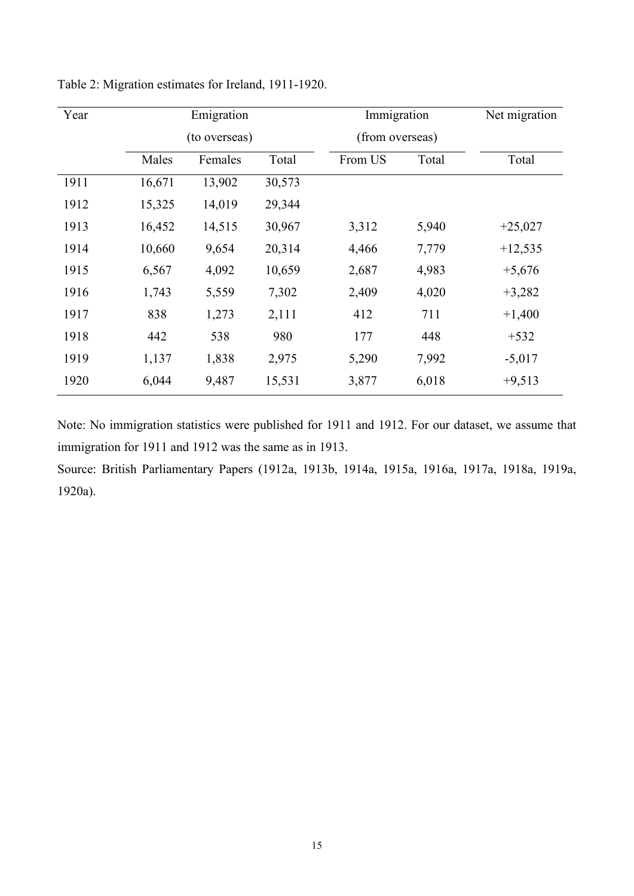| Year |                  | Emigration    |        | Immigration |                 | Net migration |  |
|------|------------------|---------------|--------|-------------|-----------------|---------------|--|
|      |                  | (to overseas) |        |             | (from overseas) |               |  |
|      | Males<br>Females |               | Total  | From US     | Total           | Total         |  |
| 1911 | 16,671           | 13,902        | 30,573 |             |                 |               |  |
| 1912 | 15,325           | 14,019        | 29,344 |             |                 |               |  |
| 1913 | 16,452           | 14,515        | 30,967 | 3,312       | 5,940           | $+25,027$     |  |
| 1914 | 10,660           | 9,654         | 20,314 | 4,466       | 7,779           | $+12,535$     |  |
| 1915 | 6,567            | 4,092         | 10,659 | 2,687       | 4,983           | $+5,676$      |  |
| 1916 | 1,743            | 5,559         | 7,302  | 2,409       | 4,020           | $+3,282$      |  |
| 1917 | 838              | 1,273         | 2,111  | 412         | 711             | $+1,400$      |  |
| 1918 | 442              | 538           | 980    | 177         | 448             | $+532$        |  |
| 1919 | 1,137            | 1,838         | 2,975  | 5,290       | 7,992           | $-5,017$      |  |
| 1920 | 6,044            | 9,487         | 15,531 | 3,877       | 6,018           | $+9,513$      |  |

Table 2: Migration estimates for Ireland, 1911-1920.

Note: No immigration statistics were published for 1911 and 1912. For our dataset, we assume that immigration for 1911 and 1912 was the same as in 1913.

Source: British Parliamentary Papers (1912a, 1913b, 1914a, 1915a, 1916a, 1917a, 1918a, 1919a, 1920a).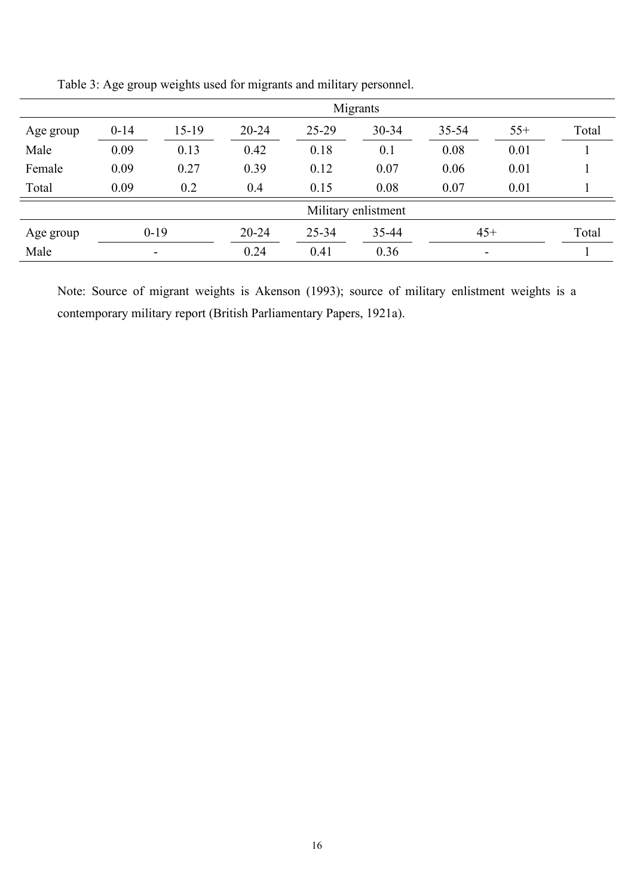|           | Migrants                 |         |           |         |           |           |                          |       |  |  |
|-----------|--------------------------|---------|-----------|---------|-----------|-----------|--------------------------|-------|--|--|
| Age group | $0 - 14$                 | $15-19$ | $20 - 24$ | $25-29$ | $30 - 34$ | $35 - 54$ | $55+$                    | Total |  |  |
| Male      | 0.09                     | 0.13    | 0.42      | 0.18    | 0.1       | 0.08      | 0.01                     |       |  |  |
| Female    | 0.09                     | 0.27    | 0.39      | 0.12    | 0.07      | 0.06      | 0.01                     |       |  |  |
| Total     | 0.09                     | 0.2     | 0.4       | 0.15    | 0.08      | 0.07      | 0.01                     |       |  |  |
|           |                          |         |           |         |           |           |                          |       |  |  |
| Age group | $0-19$                   |         | $20 - 24$ | 25-34   | 35-44     |           | $45+$                    | Total |  |  |
| Male      | $\overline{\phantom{a}}$ |         | 0.24      | 0.41    | 0.36      |           | $\overline{\phantom{a}}$ |       |  |  |

Table 3: Age group weights used for migrants and military personnel.

Note: Source of migrant weights is Akenson (1993); source of military enlistment weights is a contemporary military report (British Parliamentary Papers, 1921a).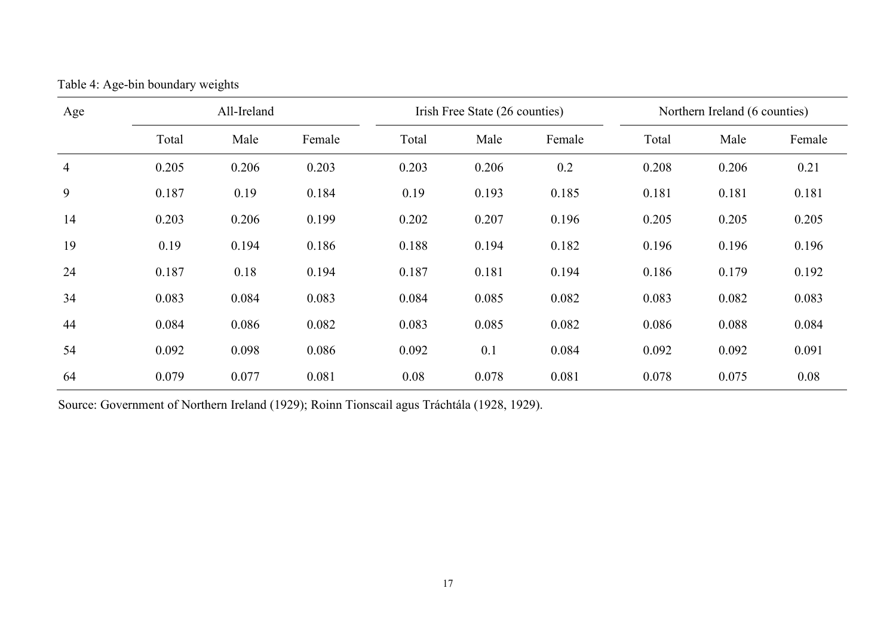| Age            | All-Ireland |       |        |       | Irish Free State (26 counties) |        | Northern Ireland (6 counties) |       |        |
|----------------|-------------|-------|--------|-------|--------------------------------|--------|-------------------------------|-------|--------|
|                | Total       | Male  | Female | Total | Male                           | Female | Total                         | Male  | Female |
| $\overline{4}$ | 0.205       | 0.206 | 0.203  | 0.203 | 0.206                          | 0.2    | 0.208                         | 0.206 | 0.21   |
| 9              | 0.187       | 0.19  | 0.184  | 0.19  | 0.193                          | 0.185  | 0.181                         | 0.181 | 0.181  |
| 14             | 0.203       | 0.206 | 0.199  | 0.202 | 0.207                          | 0.196  | 0.205                         | 0.205 | 0.205  |
| 19             | 0.19        | 0.194 | 0.186  | 0.188 | 0.194                          | 0.182  | 0.196                         | 0.196 | 0.196  |
| 24             | 0.187       | 0.18  | 0.194  | 0.187 | 0.181                          | 0.194  | 0.186                         | 0.179 | 0.192  |
| 34             | 0.083       | 0.084 | 0.083  | 0.084 | 0.085                          | 0.082  | 0.083                         | 0.082 | 0.083  |
| 44             | 0.084       | 0.086 | 0.082  | 0.083 | 0.085                          | 0.082  | 0.086                         | 0.088 | 0.084  |
| 54             | 0.092       | 0.098 | 0.086  | 0.092 | 0.1                            | 0.084  | 0.092                         | 0.092 | 0.091  |
| 64             | 0.079       | 0.077 | 0.081  | 0.08  | 0.078                          | 0.081  | 0.078                         | 0.075 | 0.08   |

Table 4: Age-bin boundary weights

Source: Government of Northern Ireland (1929); Roinn Tionscail agus Tráchtála (1928, 1929).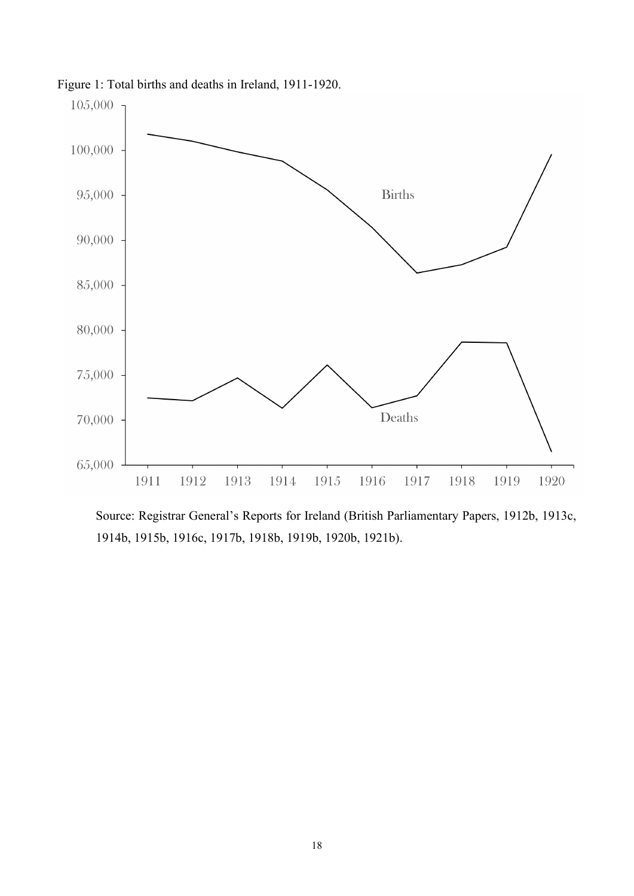

Figure 1: Total births and deaths in Ireland, 1911-1920.

Source: Registrar General's Reports for Ireland (British Parliamentary Papers, 1912b, 1913c, 1914b, 1915b, 1916c, 1917b, 1918b, 1919b, 1920b, 1921b).